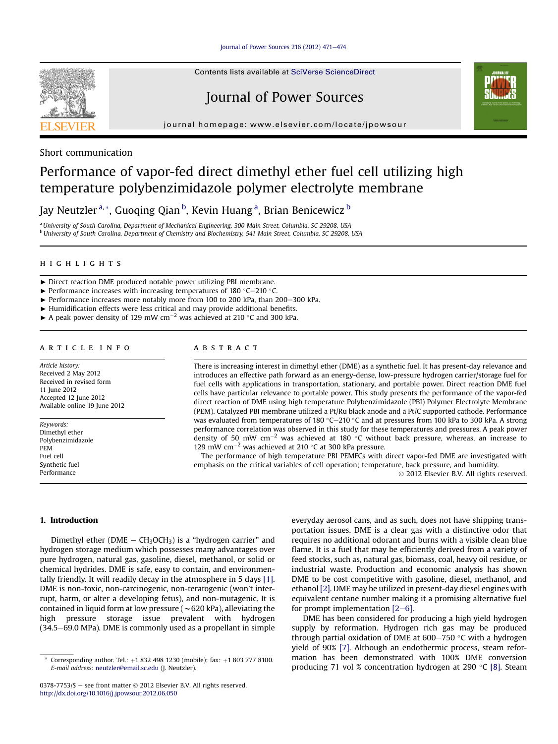Journal of Power Sources 216 (2012)  $471-474$  $471-474$ 



Contents lists available at SciVerse ScienceDirect

# Journal of Power Sources



journal homepage: [www.elsevier.com/locate/jpowsour](http://www.elsevier.com/locate/jpowsour)

## Short communication

# Performance of vapor-fed direct dimethyl ether fuel cell utilizing high temperature polybenzimidazole polymer electrolyte membrane

Jay Neutzler <sup>a, \*</sup>, Guoqing Qian <sup>b</sup>, Kevin Huang <sup>a</sup>, Brian Benicewicz <sup>b</sup>

<sup>a</sup> University of South Carolina, Department of Mechanical Engineering, 300 Main Street, Columbia, SC 29208, USA <sup>b</sup> University of South Carolina, Department of Chemistry and Biochemistry, 541 Main Street, Columbia, SC 29208, USA

- ▶ Direct reaction DME produced notable power utilizing PBI membrane.
- $\blacktriangleright$  Performance increases with increasing temperatures of 180 °C-210 °C.
- $\blacktriangleright$  Performance increases more notably more from 100 to 200 kPa, than 200-300 kPa.
- < Humidification effects were less critical and may provide additional benefits.
- A peak power density of 129 mW cm<sup>-2</sup> was achieved at 210 °C and 300 kPa.

#### **ARTICLE INFO** article info

Article history: Received 2 May 2012 Received in revised form 11 June 2012 Accepted 12 June 2012 Available online 19 June 2012

Keywords: Dimethyl ether Polybenzimidazole PEM Fuel cell Synthetic fuel Performance

#### **ABSTRACT** abstract

There is increasing interest in dimethyl ether (DME) as a synthetic fuel. It has present-day relevance and introduces an effective path forward as an energy-dense, low-pressure hydrogen carrier/storage fuel for fuel cells with applications in transportation, stationary, and portable power. Direct reaction DME fuel cells have particular relevance to portable power. This study presents the performance of the vapor-fed direct reaction of DME using high temperature Polybenzimidazole (PBI) Polymer Electrolyte Membrane (PEM). Catalyzed PBI membrane utilized a Pt/Ru black anode and a Pt/C supported cathode. Performance was evaluated from temperatures of 180 °C-210 °C and at pressures from 100 kPa to 300 kPa. A strong performance correlation was observed in this study for these temperatures and pressures. A peak power density of 50 mW cm<sup>-2</sup> was achieved at 180 °C without back pressure, whereas, an increase to 129 mW cm<sup> $-2$ </sup> was achieved at 210 °C at 300 kPa pressure.

The performance of high temperature PBI PEMFCs with direct vapor-fed DME are investigated with emphasis on the critical variables of cell operation; temperature, back pressure, and humidity. 2012 Elsevier B.V. All rights reserved.

#### 1. Introduction

Dimethyl ether (DME  $-$  CH<sub>3</sub>OCH<sub>3</sub>) is a "hydrogen carrier" and hydrogen storage medium which possesses many advantages over pure hydrogen, natural gas, gasoline, diesel, methanol, or solid or chemical hydrides. DME is safe, easy to contain, and environmentally friendly. It will readily decay in the atmosphere in 5 days [\[1\].](#page-3-0) DME is non-toxic, non-carcinogenic, non-teratogenic (won't interrupt, harm, or alter a developing fetus), and non-mutagenic. It is contained in liquid form at low pressure ( $\sim$  620 kPa), alleviating the high pressure storage issue prevalent with hydrogen  $(34.5-69.0$  MPa). DME is commonly used as a propellant in simple

everyday aerosol cans, and as such, does not have shipping transportation issues. DME is a clear gas with a distinctive odor that requires no additional odorant and burns with a visible clean blue flame. It is a fuel that may be efficiently derived from a variety of feed stocks, such as, natural gas, biomass, coal, heavy oil residue, or industrial waste. Production and economic analysis has shown DME to be cost competitive with gasoline, diesel, methanol, and ethanol [\[2\]](#page-3-0). DME may be utilized in present-day diesel engines with equivalent centane number making it a promising alternative fuel for prompt implementation  $[2-6]$  $[2-6]$  $[2-6]$ .

DME has been considered for producing a high yield hydrogen supply by reformation. Hydrogen rich gas may be produced through partial oxidation of DME at  $600-750$  °C with a hydrogen yield of 90% [\[7\]](#page-3-0). Although an endothermic process, steam reformation has been demonstrated with 100% DME conversion producing 71 vol % concentration hydrogen at 290  $\degree$ C [\[8\]](#page-3-0). Steam

Corresponding author. Tel.:  $+1$  832 498 1230 (mobile); fax:  $+1$  803 777 8100. E-mail address: [neutzler@email.sc.edu](mailto:neutzler@email.sc.edu) (J. Neutzler).

<sup>0378-7753/\$ -</sup> see front matter  $\odot$  2012 Elsevier B.V. All rights reserved. <http://dx.doi.org/10.1016/j.jpowsour.2012.06.050>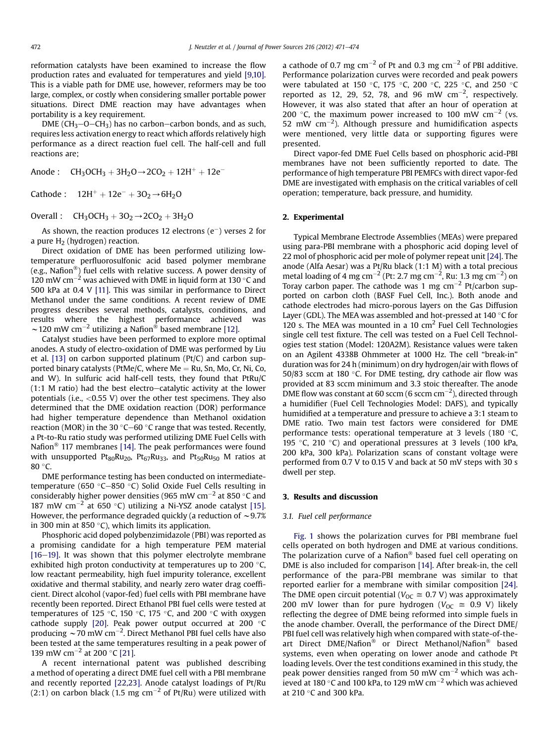reformation catalysts have been examined to increase the flow production rates and evaluated for temperatures and yield [\[9,10\].](#page-3-0) This is a viable path for DME use, however, reformers may be too large, complex, or costly when considering smaller portable power situations. Direct DME reaction may have advantages when portability is a key requirement.

DME ( $CH_3-O-CH_3$ ) has no carbon-carbon bonds, and as such, requires less activation energy to react which affords relatively high performance as a direct reaction fuel cell. The half-cell and full reactions are;

Anode :  $CH_3OCH_3 + 3H_2O \rightarrow 2CO_2 + 12H^+ + 12e^-$ 

Cathode :  $12H^{+} + 12e^{-} + 3O_{2} \rightarrow 6H_{2}O$ 

Overall :  $CH_3OCH_3 + 3O_2 \rightarrow 2CO_2 + 3H_2O$ 

As shown, the reaction produces 12 electrons  $(e^-)$  verses 2 for a pure  $H_2$  (hydrogen) reaction.

Direct oxidation of DME has been performed utilizing lowtemperature perfluorosulfonic acid based polymer membrane (e.g., Nafion<sup>®</sup>) fuel cells with relative success. A power density of  $120$  mW cm<sup>-2</sup> was achieved with DME in liquid form at 130 °C and 500 kPa at 0.4 V [\[11\]](#page-3-0). This was similar in performance to Direct Methanol under the same conditions. A recent review of DME progress describes several methods, catalysts, conditions, and results where the highest performance achieved was ~120 mW cm<sup>-2</sup> utilizing a Nafion<sup>®</sup> based membrane [\[12\].](#page-3-0)

Catalyst studies have been performed to explore more optimal anodes. A study of electro-oxidation of DME was performed by Liu et al. [\[13\]](#page-3-0) on carbon supported platinum (Pt/C) and carbon supported binary catalysts (PtMe/C, where Me = Ru, Sn, Mo, Cr, Ni, Co, and W). In sulfuric acid half-cell tests, they found that PtRu/C  $(1:1 \text{ M ratio})$  had the best electro-catalytic activity at the lower potentials (i.e.,  $<$  0.55 V) over the other test specimens. They also determined that the DME oxidation reaction (DOR) performance had higher temperature dependence than Methanol oxidation reaction (MOR) in the 30  $^{\circ}$ C $-60$   $^{\circ}$ C range that was tested. Recently, a Pt-to-Ru ratio study was performed utilizing DME Fuel Cells with Nafion $^{\circledR}$  117 membranes [\[14\]](#page-3-0). The peak performances were found with unsupported  $Pt_{80}Ru_{20}$ ,  $Pt_{67}Ru_{33}$ , and  $Pt_{50}Ru_{50}$  M ratios at  $80 °C$ .

DME performance testing has been conducted on intermediatetemperature (650 $\degree$ C-850 $\degree$ C) Solid Oxide Fuel Cells resulting in considerably higher power densities (965 mW cm<sup>-2</sup> at 850 °C and 187 mW cm<sup>-2</sup> at 650 °C) utilizing a Ni-YSZ anode catalyst [\[15\].](#page-3-0) However, the performance degraded quickly (a reduction of  $\sim$  9.7% in 300 min at 850 $\degree$ C), which limits its application.

Phosphoric acid doped polybenzimidazole (PBI) was reported as a promising candidate for a high temperature PEM material  $[16-19]$  $[16-19]$ . It was shown that this polymer electrolyte membrane exhibited high proton conductivity at temperatures up to 200 $\degree$ C, low reactant permeability, high fuel impurity tolerance, excellent oxidative and thermal stability, and nearly zero water drag coefficient. Direct alcohol (vapor-fed) fuel cells with PBI membrane have recently been reported. Direct Ethanol PBI fuel cells were tested at temperatures of 125 °C, 150 °C, 175 °C, and 200 °C with oxygen cathode supply [\[20\]](#page-3-0). Peak power output occurred at 200 $^{\circ}$ C producing  $\sim$  70 mW cm<sup>-2</sup>. Direct Methanol PBI fuel cells have also been tested at the same temperatures resulting in a peak power of 139 mW cm<sup>-2</sup> at 200 °C [\[21\].](#page-3-0)

A recent international patent was published describing a method of operating a direct DME fuel cell with a PBI membrane and recently reported [\[22,23\].](#page-3-0) Anode catalyst loadings of Pt/Ru (2:1) on carbon black (1.5 mg  $cm^{-2}$  of Pt/Ru) were utilized with a cathode of 0.7 mg  $cm^{-2}$  of Pt and 0.3 mg  $cm^{-2}$  of PBI additive. Performance polarization curves were recorded and peak powers were tabulated at 150 °C, 175 °C, 200 °C, 225 °C, and 250 °C reported as 12, 29, 52, 78, and 96 mW  $\text{cm}^{-2}$ , respectively. However, it was also stated that after an hour of operation at 200 °C, the maximum power increased to 100 mW  $cm^{-2}$  (vs. 52 mW  $\text{cm}^{-2}$ ). Although pressure and humidification aspects were mentioned, very little data or supporting figures were presented.

Direct vapor-fed DME Fuel Cells based on phosphoric acid-PBI membranes have not been sufficiently reported to date. The performance of high temperature PBI PEMFCs with direct vapor-fed DME are investigated with emphasis on the critical variables of cell operation; temperature, back pressure, and humidity.

#### 2. Experimental

Typical Membrane Electrode Assemblies (MEAs) were prepared using para-PBI membrane with a phosphoric acid doping level of 22 mol of phosphoric acid per mole of polymer repeat unit [\[24\]](#page-3-0). The anode (Alfa Aesar) was a Pt/Ru black (1:1 M) with a total precious metal loading of 4 mg cm<sup>-2</sup> (Pt: 2.7 mg cm<sup>-2</sup>, Ru: 1.3 mg cm<sup>-2</sup>) on Toray carbon paper. The cathode was 1 mg  $cm^{-2}$  Pt/carbon supported on carbon cloth (BASF Fuel Cell, Inc.). Both anode and cathode electrodes had micro-porous layers on the Gas Diffusion Layer (GDL). The MEA was assembled and hot-pressed at  $140^{\circ}$ C for 120 s. The MEA was mounted in a 10  $\text{cm}^2$  Fuel Cell Technologies single cell test fixture. The cell was tested on a Fuel Cell Technologies test station (Model: 120A2M). Resistance values were taken on an Agilent 4338B Ohmmeter at 1000 Hz. The cell "break-in" duration was for 24 h (minimum) on dry hydrogen/air with flows of 50/83 sccm at 180 $\degree$ C. For DME testing, dry cathode air flow was provided at 83 sccm minimum and 3.3 stoic thereafter. The anode DME flow was constant at 60 sccm (6 sccm cm $^{-2}$ ), directed through a humidifier (Fuel Cell Technologies Model: DAFS), and typically humidified at a temperature and pressure to achieve a 3:1 steam to DME ratio. Two main test factors were considered for DME performance tests: operational temperature at 3 levels (180 $\degree$ C, 195 °C, 210 °C) and operational pressures at 3 levels (100 kPa, 200 kPa, 300 kPa). Polarization scans of constant voltage were performed from 0.7 V to 0.15 V and back at 50 mV steps with 30 s dwell per step.

#### 3. Results and discussion

### 3.1. Fuel cell performance

[Fig. 1](#page-2-0) shows the polarization curves for PBI membrane fuel cells operated on both hydrogen and DME at various conditions. The polarization curve of a Nafion<sup>®</sup> based fuel cell operating on DME is also included for comparison [\[14\].](#page-3-0) After break-in, the cell performance of the para-PBI membrane was similar to that reported earlier for a membrane with similar composition [\[24\].](#page-3-0) The DME open circuit potential ( $V_{\text{OC}} \cong 0.7 \text{ V}$ ) was approximately 200 mV lower than for pure hydrogen ( $V_{\text{OC}} \approx 0.9$  V) likely reflecting the degree of DME being reformed into simple fuels in the anode chamber. Overall, the performance of the Direct DME/ PBI fuel cell was relatively high when compared with state-of-theart Direct DME/Nafion<sup>®</sup> or Direct Methanol/Nafion<sup>®</sup> based systems, even when operating on lower anode and cathode Pt loading levels. Over the test conditions examined in this study, the peak power densities ranged from 50 mW  $cm^{-2}$  which was achieved at 180 °C and 100 kPa, to 129 mW cm<sup>-2</sup> which was achieved at  $210$  °C and  $300$  kPa.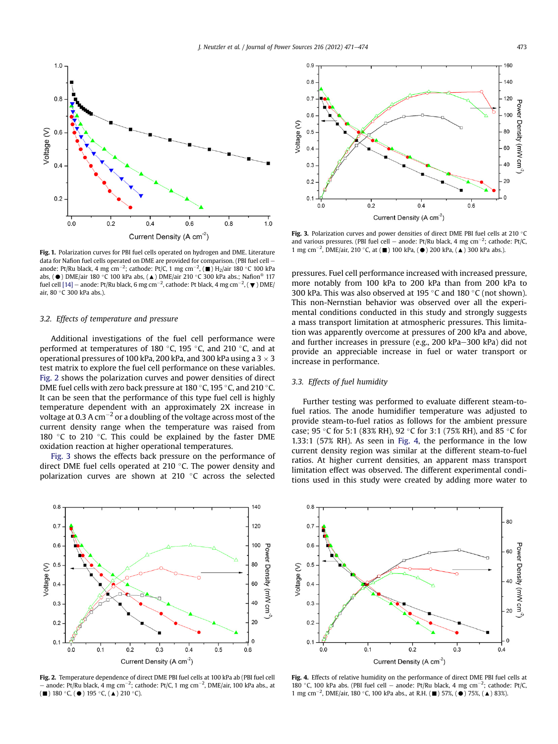<span id="page-2-0"></span>

Fig. 1. Polarization curves for PBI fuel cells operated on hydrogen and DME. Literature data for Nafion fuel cells operated on DME are provided for comparison. (PBI fuel cell anode: Pt/Ru black, 4 mg cm $^{-2}$ ; cathode: Pt/C, 1 mg cm $^{-2}$ , ( $\blacksquare$ ) H<sub>2</sub>/air 180 °C 100 kPa abs, ( $\bullet$ ) DME/air 180 °C 100 kPa abs, ( $\blacktriangle$ ) DME/air 210 °C 300 kPa abs.; Nafion<sup>®</sup> 117 fuel cell [\[14\]](#page-3-0) – anode: Pt/Ru black, 6 mg cm $^{-2}$ , cathode: Pt black, 4 mg cm $^{-2}$ , (  $\blacktriangledown$  ) DME/ air, 80 °C 300 kPa abs.).

#### 3.2. Effects of temperature and pressure

Additional investigations of the fuel cell performance were performed at temperatures of 180 $\degree$ C, 195 $\degree$ C, and 210 $\degree$ C, and at operational pressures of 100 kPa, 200 kPa, and 300 kPa using a  $3 \times 3$ test matrix to explore the fuel cell performance on these variables. Fig. 2 shows the polarization curves and power densities of direct DME fuel cells with zero back pressure at 180 °C, 195 °C, and 210 °C. It can be seen that the performance of this type fuel cell is highly temperature dependent with an approximately 2X increase in voltage at 0.3 A  $cm^{-2}$  or a doubling of the voltage across most of the current density range when the temperature was raised from 180 °C to 210 °C. This could be explained by the faster DME oxidation reaction at higher operational temperatures.

Fig. 3 shows the effects back pressure on the performance of direct DME fuel cells operated at 210  $\degree$ C. The power density and polarization curves are shown at 210  $\degree$ C across the selected



Fig. 2. Temperature dependence of direct DME PBI fuel cells at 100 kPa ab (PBI fuel cell  $-$  anode: Pt/Ru black, 4 mg cm<sup>-2</sup>; cathode: Pt/C, 1 mg cm<sup>-2</sup>, DME/air, 100 kPa abs., at  $(\blacksquare)$  180 °C,  $(\spadesuit)$  195 °C,  $(\spadesuit)$  210 °C).



Fig. 3. Polarization curves and power densities of direct DME PBI fuel cells at 210 °C and various pressures. (PBI fuel cell – anode: Pt/Ru black, 4 mg cm<sup>-2</sup>; cathode: Pt/C 1 mg cm<sup>-2</sup>, DME/air, 210 °C, at ( $\blacksquare$ ) 100 kPa, ( $\spadesuit$ ) 200 kPa, ( $\spadesuit$ ) 300 kPa abs.).

pressures. Fuel cell performance increased with increased pressure, more notably from 100 kPa to 200 kPa than from 200 kPa to 300 kPa. This was also observed at 195  $\degree$ C and 180  $\degree$ C (not shown). This non-Nernstian behavior was observed over all the experimental conditions conducted in this study and strongly suggests a mass transport limitation at atmospheric pressures. This limitation was apparently overcome at pressures of 200 kPa and above, and further increases in pressure (e.g., 200 kPa-300 kPa) did not provide an appreciable increase in fuel or water transport or increase in performance.

#### 3.3. Effects of fuel humidity

Further testing was performed to evaluate different steam-tofuel ratios. The anode humidifier temperature was adjusted to provide steam-to-fuel ratios as follows for the ambient pressure case; 95 °C for 5:1 (83% RH), 92 °C for 3:1 (75% RH), and 85 °C for 1.33:1 (57% RH). As seen in Fig. 4, the performance in the low current density region was similar at the different steam-to-fuel ratios. At higher current densities, an apparent mass transport limitation effect was observed. The different experimental conditions used in this study were created by adding more water to



Fig. 4. Effects of relative humidity on the performance of direct DME PBI fuel cells at 180 °C, 100 kPa abs. (PBI fuel cell – anode: Pt/Ru black, 4 mg cm<sup>-2</sup>; cathode: Pt/C 1 mg cm<sup>-2</sup>, DME/air, 180 °C, 100 kPa abs., at R.H. ( $\blacksquare$ ) 57%, ( $\spadesuit$ ) 75%, ( $\blacktriangle$ ) 83%).